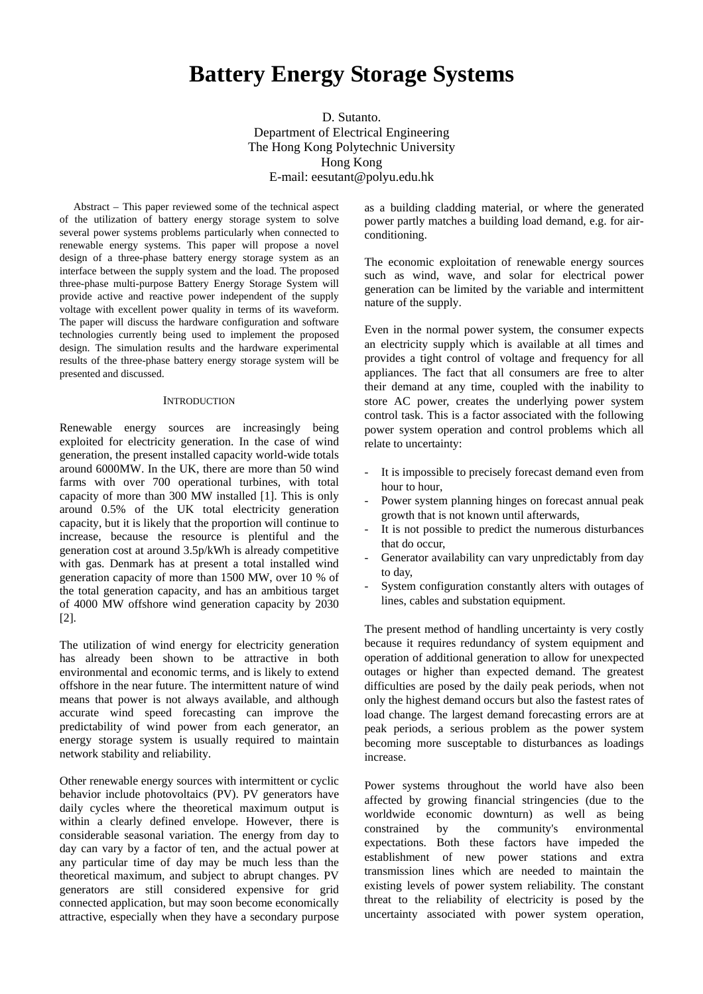# **Battery Energy Storage Systems**

D. Sutanto. Department of Electrical Engineering The Hong Kong Polytechnic University Hong Kong E-mail: eesutant@polyu.edu.hk

Abstract – This paper reviewed some of the technical aspect of the utilization of battery energy storage system to solve several power systems problems particularly when connected to renewable energy systems. This paper will propose a novel design of a three-phase battery energy storage system as an interface between the supply system and the load. The proposed three-phase multi-purpose Battery Energy Storage System will provide active and reactive power independent of the supply voltage with excellent power quality in terms of its waveform. The paper will discuss the hardware configuration and software technologies currently being used to implement the proposed design. The simulation results and the hardware experimental results of the three-phase battery energy storage system will be presented and discussed.

#### **INTRODUCTION**

Renewable energy sources are increasingly being exploited for electricity generation. In the case of wind generation, the present installed capacity world-wide totals around 6000MW. In the UK, there are more than 50 wind farms with over 700 operational turbines, with total capacity of more than 300 MW installed [1]. This is only around 0.5% of the UK total electricity generation capacity, but it is likely that the proportion will continue to increase, because the resource is plentiful and the generation cost at around 3.5p/kWh is already competitive with gas. Denmark has at present a total installed wind generation capacity of more than 1500 MW, over 10 % of the total generation capacity, and has an ambitious target of 4000 MW offshore wind generation capacity by 2030 [2].

The utilization of wind energy for electricity generation has already been shown to be attractive in both environmental and economic terms, and is likely to extend offshore in the near future. The intermittent nature of wind means that power is not always available, and although accurate wind speed forecasting can improve the predictability of wind power from each generator, an energy storage system is usually required to maintain network stability and reliability.

Other renewable energy sources with intermittent or cyclic behavior include photovoltaics (PV). PV generators have daily cycles where the theoretical maximum output is within a clearly defined envelope. However, there is considerable seasonal variation. The energy from day to day can vary by a factor of ten, and the actual power at any particular time of day may be much less than the theoretical maximum, and subject to abrupt changes. PV generators are still considered expensive for grid connected application, but may soon become economically attractive, especially when they have a secondary purpose as a building cladding material, or where the generated power partly matches a building load demand, e.g. for airconditioning.

The economic exploitation of renewable energy sources such as wind, wave, and solar for electrical power generation can be limited by the variable and intermittent nature of the supply.

Even in the normal power system, the consumer expects an electricity supply which is available at all times and provides a tight control of voltage and frequency for all appliances. The fact that all consumers are free to alter their demand at any time, coupled with the inability to store AC power, creates the underlying power system control task. This is a factor associated with the following power system operation and control problems which all relate to uncertainty:

- It is impossible to precisely forecast demand even from hour to hour,
- Power system planning hinges on forecast annual peak growth that is not known until afterwards,
- It is not possible to predict the numerous disturbances that do occur,
- Generator availability can vary unpredictably from day to day,
- System configuration constantly alters with outages of lines, cables and substation equipment.

The present method of handling uncertainty is very costly because it requires redundancy of system equipment and operation of additional generation to allow for unexpected outages or higher than expected demand. The greatest difficulties are posed by the daily peak periods, when not only the highest demand occurs but also the fastest rates of load change. The largest demand forecasting errors are at peak periods, a serious problem as the power system becoming more susceptable to disturbances as loadings increase.

Power systems throughout the world have also been affected by growing financial stringencies (due to the worldwide economic downturn) as well as being constrained by the community's environmental expectations. Both these factors have impeded the establishment of new power stations and extra transmission lines which are needed to maintain the existing levels of power system reliability. The constant threat to the reliability of electricity is posed by the uncertainty associated with power system operation,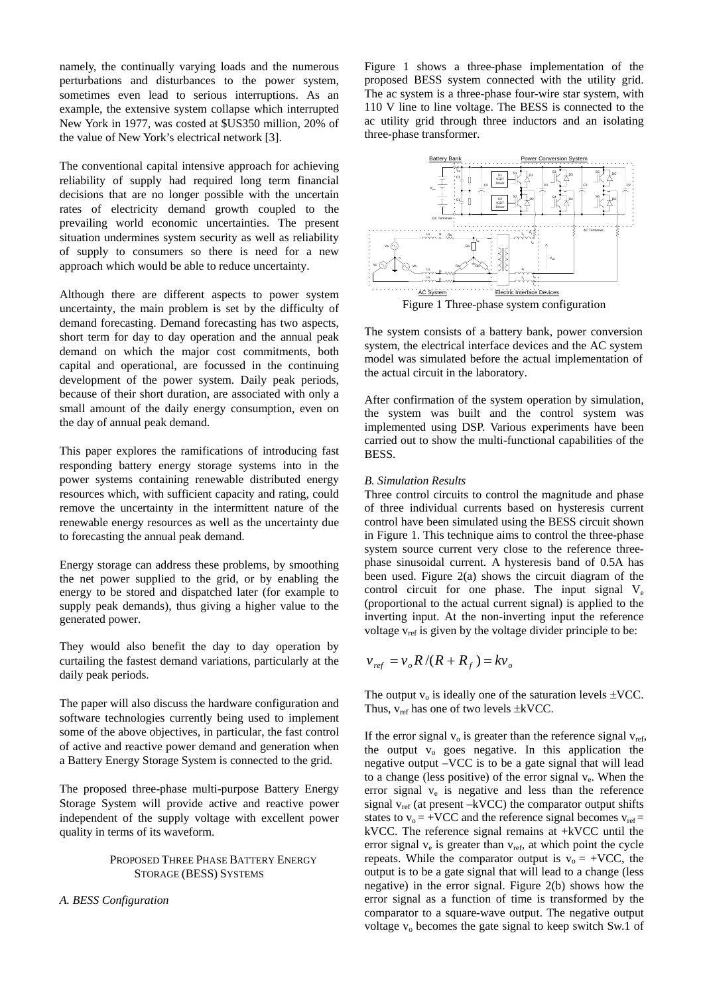namely, the continually varying loads and the numerous perturbations and disturbances to the power system, sometimes even lead to serious interruptions. As an example, the extensive system collapse which interrupted New York in 1977, was costed at \$US350 million, 20% of the value of New York's electrical network [3].

The conventional capital intensive approach for achieving reliability of supply had required long term financial decisions that are no longer possible with the uncertain rates of electricity demand growth coupled to the prevailing world economic uncertainties. The present situation undermines system security as well as reliability of supply to consumers so there is need for a new approach which would be able to reduce uncertainty.

Although there are different aspects to power system uncertainty, the main problem is set by the difficulty of demand forecasting. Demand forecasting has two aspects, short term for day to day operation and the annual peak demand on which the major cost commitments, both capital and operational, are focussed in the continuing development of the power system. Daily peak periods, because of their short duration, are associated with only a small amount of the daily energy consumption, even on the day of annual peak demand.

This paper explores the ramifications of introducing fast responding battery energy storage systems into in the power systems containing renewable distributed energy resources which, with sufficient capacity and rating, could remove the uncertainty in the intermittent nature of the renewable energy resources as well as the uncertainty due to forecasting the annual peak demand.

Energy storage can address these problems, by smoothing the net power supplied to the grid, or by enabling the energy to be stored and dispatched later (for example to supply peak demands), thus giving a higher value to the generated power.

They would also benefit the day to day operation by curtailing the fastest demand variations, particularly at the daily peak periods.

The paper will also discuss the hardware configuration and software technologies currently being used to implement some of the above objectives, in particular, the fast control of active and reactive power demand and generation when a Battery Energy Storage System is connected to the grid.

The proposed three-phase multi-purpose Battery Energy Storage System will provide active and reactive power independent of the supply voltage with excellent power quality in terms of its waveform.

## PROPOSED THREE PHASE BATTERY ENERGY STORAGE (BESS) SYSTEMS

*A. BESS Configuration* 

Figure 1 shows a three-phase implementation of the proposed BESS system connected with the utility grid. The ac system is a three-phase four-wire star system, with 110 V line to line voltage. The BESS is connected to the ac utility grid through three inductors and an isolating three-phase transformer.



The system consists of a battery bank, power conversion system, the electrical interface devices and the AC system model was simulated before the actual implementation of the actual circuit in the laboratory.

After confirmation of the system operation by simulation, the system was built and the control system was implemented using DSP. Various experiments have been carried out to show the multi-functional capabilities of the BESS.

### *B. Simulation Results*

Three control circuits to control the magnitude and phase of three individual currents based on hysteresis current control have been simulated using the BESS circuit shown in Figure 1. This technique aims to control the three-phase system source current very close to the reference threephase sinusoidal current. A hysteresis band of 0.5A has been used. Figure 2(a) shows the circuit diagram of the control circuit for one phase. The input signal  $V_e$ (proportional to the actual current signal) is applied to the inverting input. At the non-inverting input the reference voltage  $v_{ref}$  is given by the voltage divider principle to be:

$$
v_{ref} = v_o R / (R + R_f) = kv_o
$$

The output  $v_0$  is ideally one of the saturation levels  $\pm$ VCC. Thus,  $v_{ref}$  has one of two levels  $\pm kVCC$ .

If the error signal  $v_0$  is greater than the reference signal  $v_{ref}$ , the output  $v_0$  goes negative. In this application the negative output –VCC is to be a gate signal that will lead to a change (less positive) of the error signal  $v_e$ . When the error signal  $v_e$  is negative and less than the reference signal  $v_{ref}$  (at present  $-kVCC$ ) the comparator output shifts states to  $v_0$  = +VCC and the reference signal becomes  $v_{ref}$  = kVCC. The reference signal remains at +kVCC until the error signal  $v_e$  is greater than  $v_{ref}$ , at which point the cycle repeats. While the comparator output is  $v_0 = +VCC$ , the output is to be a gate signal that will lead to a change (less negative) in the error signal. Figure 2(b) shows how the error signal as a function of time is transformed by the comparator to a square-wave output. The negative output voltage  $v_0$  becomes the gate signal to keep switch Sw.1 of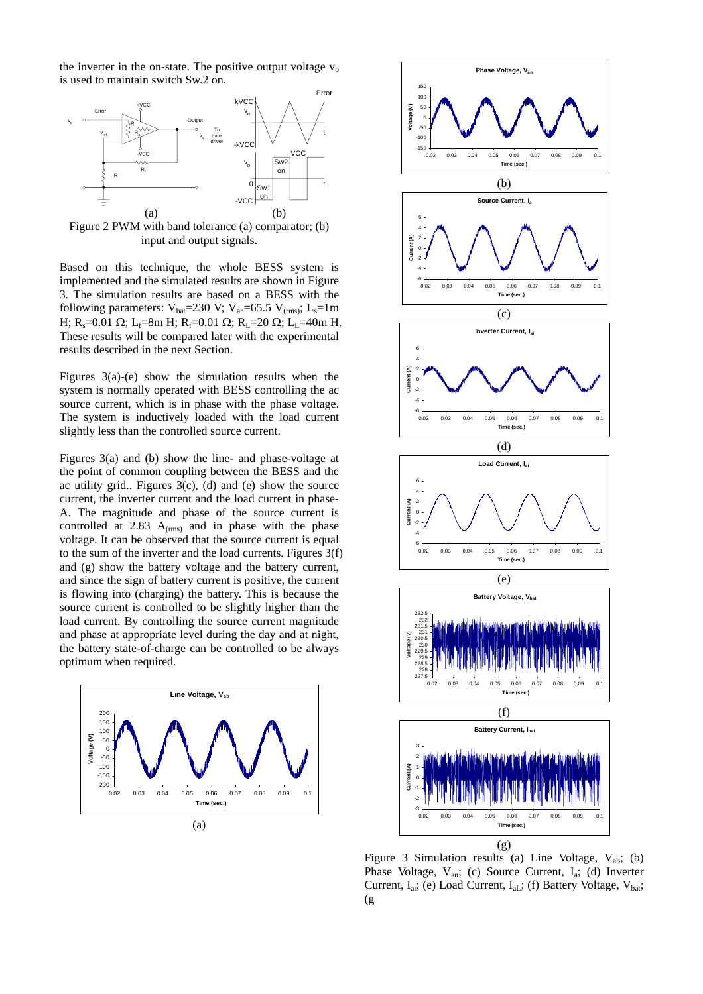the inverter in the on-state. The positive output voltage  $v_0$ is used to maintain switch Sw.2 on.



Figure 2 PWM with band tolerance (a) comparator; (b) input and output signals.

Based on this technique, the whole BESS system is implemented and the simulated results are shown in Figure 3. The simulation results are based on a BESS with the following parameters:  $V_{\text{bat}}=230 \text{ V}; V_{\text{an}}=65.5 \text{ V}_{\text{(rms)}}; L_{\text{s}}=1 \text{ m}$ H; R<sub>s</sub>=0.01 Ω; L<sub>f</sub>=8m H; R<sub>f</sub>=0.01 Ω; R<sub>L</sub>=20 Ω; L<sub>L</sub>=40m H. These results will be compared later with the experimental results described in the next Section.

Figures  $3(a)-(e)$  show the simulation results when the system is normally operated with BESS controlling the ac source current, which is in phase with the phase voltage. The system is inductively loaded with the load current slightly less than the controlled source current.

Figures 3(a) and (b) show the line- and phase-voltage at the point of common coupling between the BESS and the ac utility grid.. Figures  $3(c)$ , (d) and (e) show the source current, the inverter current and the load current in phase-A. The magnitude and phase of the source current is controlled at 2.83  $A_{(rms)}$  and in phase with the phase voltage. It can be observed that the source current is equal to the sum of the inverter and the load currents. Figures 3(f) and (g) show the battery voltage and the battery current, and since the sign of battery current is positive, the current is flowing into (charging) the battery. This is because the source current is controlled to be slightly higher than the load current. By controlling the source current magnitude and phase at appropriate level during the day and at night, the battery state-of-charge can be controlled to be always optimum when required.





Figure 3 Simulation results (a) Line Voltage,  $V_{ab}$ ; (b) Phase Voltage,  $V_{an}$ ; (c) Source Current,  $I_a$ ; (d) Inverter Current,  $I_{ai}$ ; (e) Load Current,  $I_{aL}$ ; (f) Battery Voltage,  $V_{bat}$ ; (g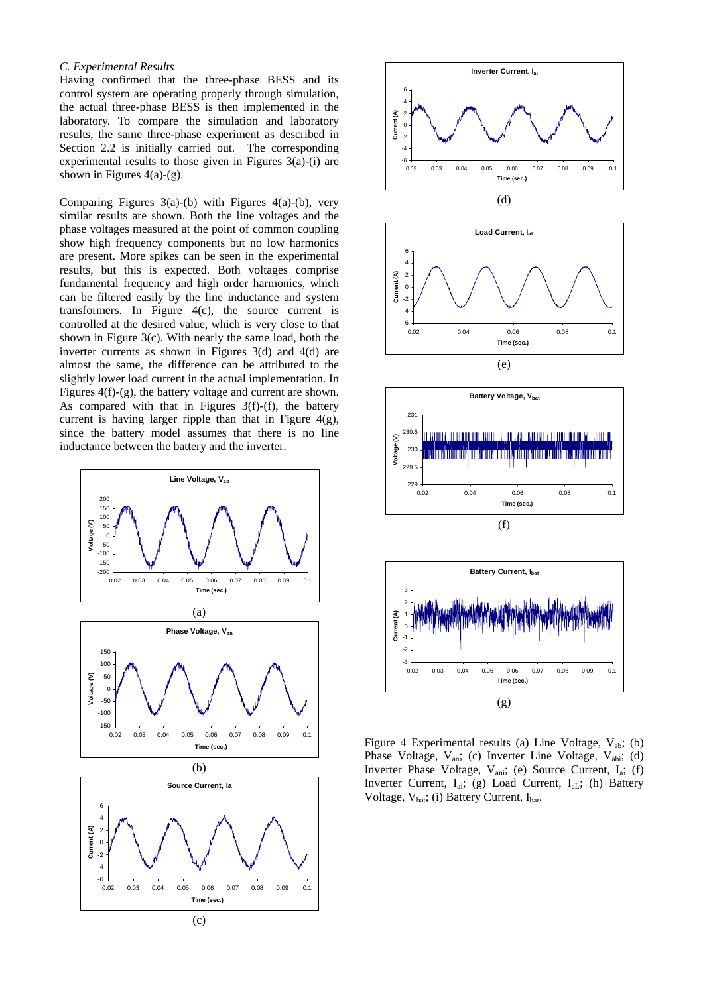#### *C. Experimental Results*

Having confirmed that the three-phase BESS and its control system are operating properly through simulation, the actual three-phase BESS is then implemented in the laboratory. To compare the simulation and laboratory results, the same three-phase experiment as described in Section 2.2 is initially carried out. The corresponding experimental results to those given in Figures 3(a)-(i) are shown in Figures  $4(a)-(g)$ .

Comparing Figures  $3(a)$ -(b) with Figures  $4(a)$ -(b), very similar results are shown. Both the line voltages and the phase voltages measured at the point of common coupling show high frequency components but no low harmonics are present. More spikes can be seen in the experimental results, but this is expected. Both voltages comprise fundamental frequency and high order harmonics, which can be filtered easily by the line inductance and system transformers. In Figure 4(c), the source current is controlled at the desired value, which is very close to that shown in Figure 3(c). With nearly the same load, both the inverter currents as shown in Figures 3(d) and 4(d) are almost the same, the difference can be attributed to the slightly lower load current in the actual implementation. In Figures 4(f)-(g), the battery voltage and current are shown. As compared with that in Figures 3(f)-(f), the battery current is having larger ripple than that in Figure 4(g), since the battery model assumes that there is no line inductance between the battery and the inverter.











Figure 4 Experimental results (a) Line Voltage,  $V_{ab}$ ; (b) Phase Voltage, V<sub>an</sub>; (c) Inverter Line Voltage, V<sub>abi</sub>; (d) Inverter Phase Voltage, V<sub>ani</sub>; (e) Source Current, I<sub>a</sub>; (f) Inverter Current,  $I_{ai}$ ; (g) Load Current,  $I_{aL}$ ; (h) Battery Voltage,  $V_{\text{bat}}$ ; (i) Battery Current,  $I_{\text{bat}}$ .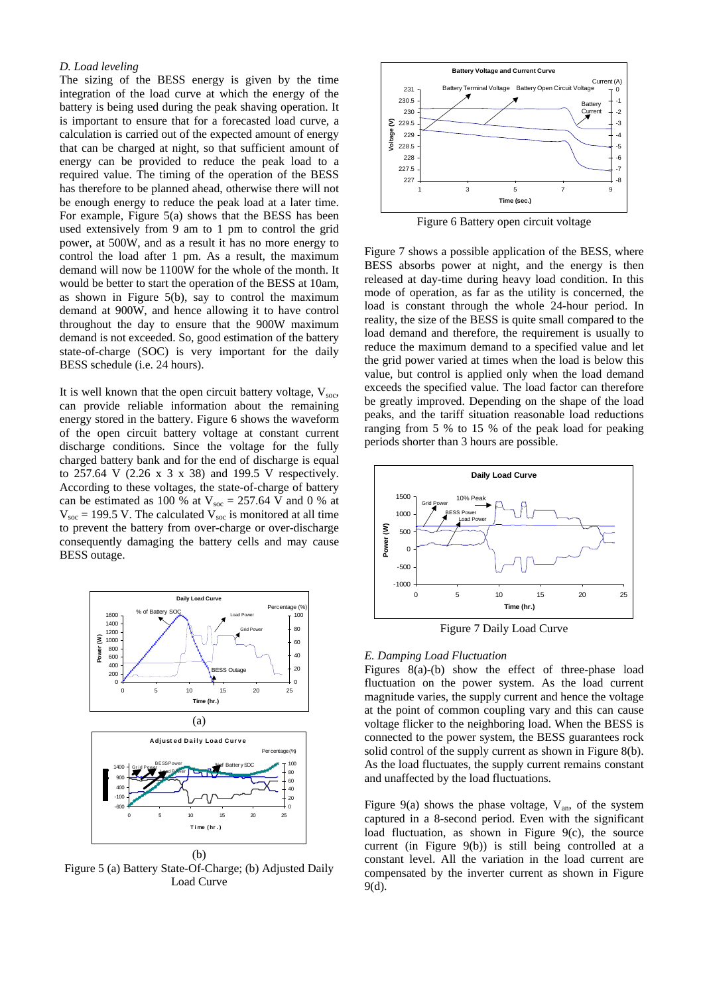#### *D. Load leveling*

The sizing of the BESS energy is given by the time integration of the load curve at which the energy of the battery is being used during the peak shaving operation. It is important to ensure that for a forecasted load curve, a calculation is carried out of the expected amount of energy that can be charged at night, so that sufficient amount of energy can be provided to reduce the peak load to a required value. The timing of the operation of the BESS has therefore to be planned ahead, otherwise there will not be enough energy to reduce the peak load at a later time. For example, Figure 5(a) shows that the BESS has been used extensively from 9 am to 1 pm to control the grid power, at 500W, and as a result it has no more energy to control the load after 1 pm. As a result, the maximum demand will now be 1100W for the whole of the month. It would be better to start the operation of the BESS at 10am, as shown in Figure 5(b), say to control the maximum demand at 900W, and hence allowing it to have control throughout the day to ensure that the 900W maximum demand is not exceeded. So, good estimation of the battery state-of-charge (SOC) is very important for the daily BESS schedule (i.e. 24 hours).

It is well known that the open circuit battery voltage,  $V_{\text{soc}}$ , can provide reliable information about the remaining energy stored in the battery. Figure 6 shows the waveform of the open circuit battery voltage at constant current discharge conditions. Since the voltage for the fully charged battery bank and for the end of discharge is equal to 257.64 V (2.26 x 3 x 38) and 199.5 V respectively. According to these voltages, the state-of-charge of battery can be estimated as 100 % at  $V_{\text{soc}} = 257.64 \text{ V}$  and 0 % at  $V_{\text{soc}}$  = 199.5 V. The calculated  $V_{\text{soc}}$  is monitored at all time to prevent the battery from over-charge or over-discharge consequently damaging the battery cells and may cause BESS outage.



Figure 5 (a) Battery State-Of-Charge; (b) Adjusted Daily Load Curve



Figure 6 Battery open circuit voltage

Figure 7 shows a possible application of the BESS, where BESS absorbs power at night, and the energy is then released at day-time during heavy load condition. In this mode of operation, as far as the utility is concerned, the load is constant through the whole 24-hour period. In reality, the size of the BESS is quite small compared to the load demand and therefore, the requirement is usually to reduce the maximum demand to a specified value and let the grid power varied at times when the load is below this value, but control is applied only when the load demand exceeds the specified value. The load factor can therefore be greatly improved. Depending on the shape of the load peaks, and the tariff situation reasonable load reductions ranging from 5 % to 15 % of the peak load for peaking periods shorter than 3 hours are possible.



Figure 7 Daily Load Curve

#### *E. Damping Load Fluctuation*

Figures 8(a)-(b) show the effect of three-phase load fluctuation on the power system. As the load current magnitude varies, the supply current and hence the voltage at the point of common coupling vary and this can cause voltage flicker to the neighboring load. When the BESS is connected to the power system, the BESS guarantees rock solid control of the supply current as shown in Figure 8(b). As the load fluctuates, the supply current remains constant and unaffected by the load fluctuations.

Figure 9(a) shows the phase voltage,  $V_{an}$ , of the system captured in a 8-second period. Even with the significant load fluctuation, as shown in Figure 9(c), the source current (in Figure 9(b)) is still being controlled at a constant level. All the variation in the load current are compensated by the inverter current as shown in Figure 9(d).